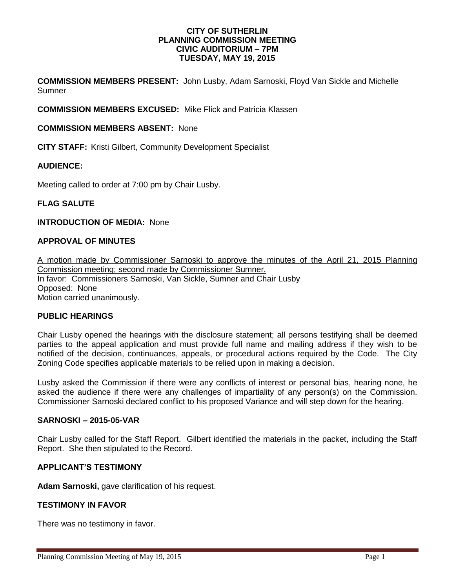#### **CITY OF SUTHERLIN PLANNING COMMISSION MEETING CIVIC AUDITORIUM – 7PM TUESDAY, MAY 19, 2015**

**COMMISSION MEMBERS PRESENT:** John Lusby, Adam Sarnoski, Floyd Van Sickle and Michelle Sumner

**COMMISSION MEMBERS EXCUSED:** Mike Flick and Patricia Klassen

### **COMMISSION MEMBERS ABSENT:** None

**CITY STAFF:** Kristi Gilbert, Community Development Specialist

## **AUDIENCE:**

Meeting called to order at 7:00 pm by Chair Lusby.

## **FLAG SALUTE**

### **INTRODUCTION OF MEDIA:** None

# **APPROVAL OF MINUTES**

A motion made by Commissioner Sarnoski to approve the minutes of the April 21, 2015 Planning Commission meeting; second made by Commissioner Sumner. In favor: Commissioners Sarnoski, Van Sickle, Sumner and Chair Lusby Opposed:None Motion carried unanimously.

#### **PUBLIC HEARINGS**

Chair Lusby opened the hearings with the disclosure statement; all persons testifying shall be deemed parties to the appeal application and must provide full name and mailing address if they wish to be notified of the decision, continuances, appeals, or procedural actions required by the Code. The City Zoning Code specifies applicable materials to be relied upon in making a decision.

Lusby asked the Commission if there were any conflicts of interest or personal bias, hearing none, he asked the audience if there were any challenges of impartiality of any person(s) on the Commission. Commissioner Sarnoski declared conflict to his proposed Variance and will step down for the hearing.

#### **SARNOSKI – 2015-05-VAR**

Chair Lusby called for the Staff Report. Gilbert identified the materials in the packet, including the Staff Report. She then stipulated to the Record.

# **APPLICANT'S TESTIMONY**

**Adam Sarnoski,** gave clarification of his request.

#### **TESTIMONY IN FAVOR**

There was no testimony in favor.